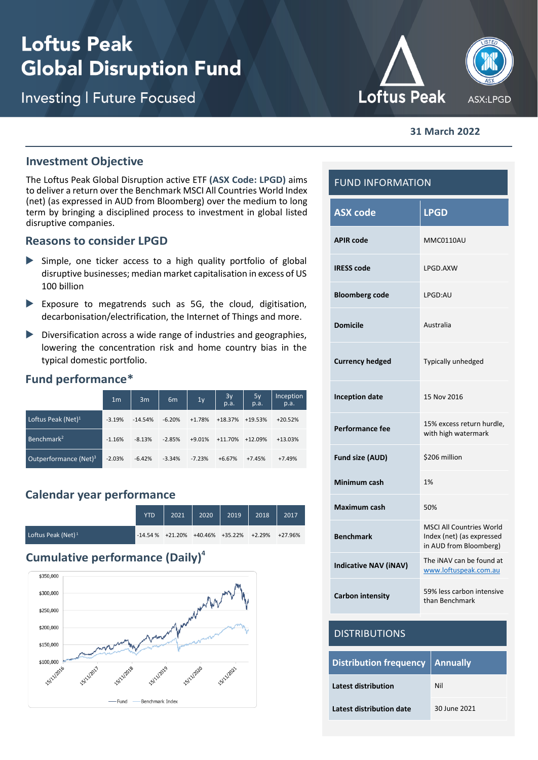# **Loftus Peak Global Disruption Fund**

**Investing | Future Focused** 



#### **31 March 2022**

#### **Investment Objective**

The Loftus Peak Global Disruption active ETF **(ASX Code: LPGD)** aims to deliver a return over the Benchmark MSCI All Countries World Index (net) (as expressed in AUD from Bloomberg) over the medium to long term by bringing a disciplined process to investment in global listed disruptive companies.

#### **Reasons to consider LPGD**

- Simple, one ticker access to a high quality portfolio of global disruptive businesses; median market capitalisation in excess of US 100 billion
- Exposure to megatrends such as 5G, the cloud, digitisation, decarbonisation/electrification, the Internet of Things and more.
- $\triangleright$  Diversification across a wide range of industries and geographies, lowering the concentration risk and home country bias in the typical domestic portfolio.

#### **Fund performance\***

|                          | 1 <sub>m</sub> | 3m        | 6 <sub>m</sub> | 1 <sub>y</sub> | $\frac{3y}{p.a.}$ | $5y$<br>p.a. | Inception<br>p.a. |
|--------------------------|----------------|-----------|----------------|----------------|-------------------|--------------|-------------------|
| Loftus Peak (Net) $1$    | $-3.19%$       | $-14.54%$ | $-6.20%$       | $+1.78%$       | $+18.37%$         | $+19.53%$    | $+20.52%$         |
| Benchmark <sup>2</sup>   | $-1.16%$       | $-8.13%$  | $-2.85%$       | $+9.01%$       | $+11.70%$         | $+12.09%$    | +13.03%           |
| Outperformance $(Net)^3$ | $-2.03%$       | $-6.42%$  | $-3.34%$       | $-7.23%$       | $+6.67%$          | $+7.45%$     | $+7.49%$          |

## **Calendar year performance**

|                       | <b>YTD</b> | 2021 | 2020 | 2019                                                             | 2018 | 2017 |
|-----------------------|------------|------|------|------------------------------------------------------------------|------|------|
| Loftus Peak (Net) $1$ |            |      |      | $-14.54\%$ $+21.20\%$ $+40.46\%$ $+35.22\%$ $+2.29\%$ $+27.96\%$ |      |      |

# **Cumulative performance (Daily)<sup>4</sup>**



| <b>FUND INFORMATION</b>                          |                                                                                        |  |  |
|--------------------------------------------------|----------------------------------------------------------------------------------------|--|--|
| <b>ASX code</b>                                  | <b>LPGD</b>                                                                            |  |  |
| <b>APIR code</b>                                 | MMC0110AU                                                                              |  |  |
| <b>IRESS</b> code                                | LPGD.AXW                                                                               |  |  |
| <b>Bloomberg code</b>                            | <b>I PGD:AU</b>                                                                        |  |  |
| <b>Domicile</b>                                  | Australia                                                                              |  |  |
| <b>Currency hedged</b>                           | Typically unhedged                                                                     |  |  |
| <b>Inception date</b>                            | 15 Nov 2016                                                                            |  |  |
| <b>Performance fee</b>                           | 15% excess return hurdle,<br>with high watermark                                       |  |  |
| Fund size (AUD)                                  | \$206 million                                                                          |  |  |
| Minimum cash                                     | 1%                                                                                     |  |  |
| <b>Maximum cash</b>                              | 50%                                                                                    |  |  |
| <b>Benchmark</b>                                 | <b>MSCI All Countries World</b><br>Index (net) (as expressed<br>in AUD from Bloomberg) |  |  |
| <b>Indicative NAV (iNAV)</b>                     | The INAV can be found at<br>www.loftuspeak.com.au                                      |  |  |
| <b>Carbon intensity</b>                          | 59% less carbon intensive<br>than Benchmark                                            |  |  |
| <b>DISTRIBUTIONS</b>                             |                                                                                        |  |  |
| <b>Annually</b><br><b>Distribution frequency</b> |                                                                                        |  |  |

| Distribution frequency   Annually |              |  |  |
|-----------------------------------|--------------|--|--|
| Latest distribution               | Nil          |  |  |
| Latest distribution date          | 30 June 2021 |  |  |